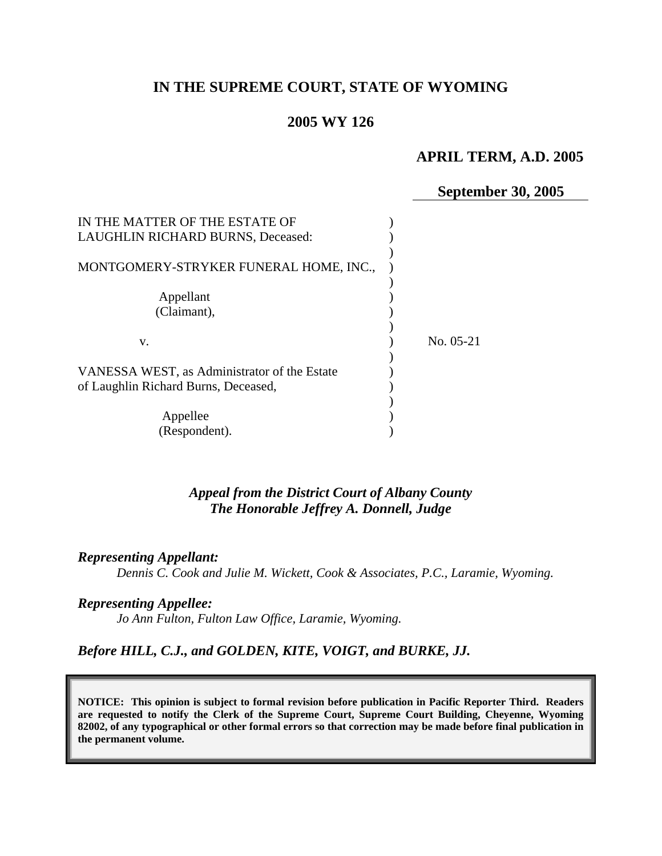## **IN THE SUPREME COURT, STATE OF WYOMING**

## **2005 WY 126**

## **APRIL TERM, A.D. 2005**

**September 30, 2005**

| IN THE MATTER OF THE ESTATE OF               |           |
|----------------------------------------------|-----------|
| LAUGHLIN RICHARD BURNS, Deceased:            |           |
|                                              |           |
| MONTGOMERY-STRYKER FUNERAL HOME, INC.,       |           |
|                                              |           |
| Appellant                                    |           |
| (Claimant),                                  |           |
|                                              |           |
| V.                                           | No. 05-21 |
|                                              |           |
| VANESSA WEST, as Administrator of the Estate |           |
| of Laughlin Richard Burns, Deceased,         |           |
|                                              |           |
| Appellee                                     |           |
| (Respondent).                                |           |

### *Appeal from the District Court of Albany County The Honorable Jeffrey A. Donnell, Judge*

#### *Representing Appellant:*

*Dennis C. Cook and Julie M. Wickett, Cook & Associates, P.C., Laramie, Wyoming.* 

#### *Representing Appellee:*

*Jo Ann Fulton, Fulton Law Office, Laramie, Wyoming.* 

# *Before HILL, C.J., and GOLDEN, KITE, VOIGT, and BURKE, JJ.*

**NOTICE: This opinion is subject to formal revision before publication in Pacific Reporter Third. Readers are requested to notify the Clerk of the Supreme Court, Supreme Court Building, Cheyenne, Wyoming 82002, of any typographical or other formal errors so that correction may be made before final publication in the permanent volume.**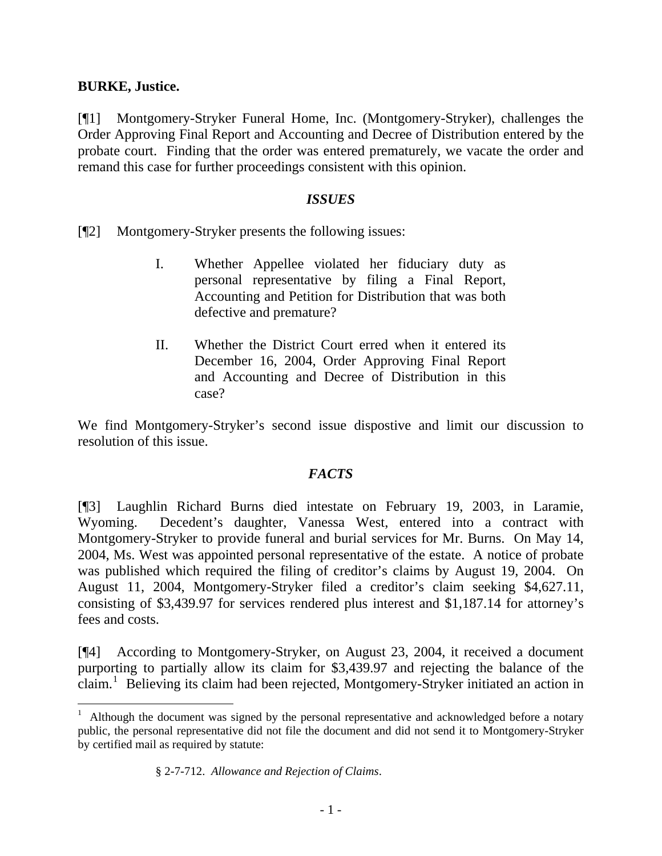## **BURKE, Justice.**

[¶1] Montgomery-Stryker Funeral Home, Inc. (Montgomery-Stryker), challenges the Order Approving Final Report and Accounting and Decree of Distribution entered by the probate court. Finding that the order was entered prematurely, we vacate the order and remand this case for further proceedings consistent with this opinion.

### *ISSUES*

[¶2] Montgomery-Stryker presents the following issues:

- I. Whether Appellee violated her fiduciary duty as personal representative by filing a Final Report, Accounting and Petition for Distribution that was both defective and premature?
- II. Whether the District Court erred when it entered its December 16, 2004, Order Approving Final Report and Accounting and Decree of Distribution in this case?

We find Montgomery-Stryker's second issue dispostive and limit our discussion to resolution of this issue.

## *FACTS*

[¶3] Laughlin Richard Burns died intestate on February 19, 2003, in Laramie, Wyoming. Decedent's daughter, Vanessa West, entered into a contract with Montgomery-Stryker to provide funeral and burial services for Mr. Burns. On May 14, 2004, Ms. West was appointed personal representative of the estate. A notice of probate was published which required the filing of creditor's claims by August 19, 2004. On August 11, 2004, Montgomery-Stryker filed a creditor's claim seeking \$4,627.11, consisting of \$3,439.97 for services rendered plus interest and \$1,187.14 for attorney's fees and costs.

[¶4] According to Montgomery-Stryker, on August 23, 2004, it received a document purporting to partially allow its claim for \$3,439.97 and rejecting the balance of the claim.<sup>[1](#page-1-0)</sup> Believing its claim had been rejected, Montgomery-Stryker initiated an action in

<span id="page-1-0"></span> $\overline{a}$ <sup>1</sup> Although the document was signed by the personal representative and acknowledged before a notary public, the personal representative did not file the document and did not send it to Montgomery-Stryker by certified mail as required by statute:

 <sup>§ 2-7-712.</sup> *Allowance and Rejection of Claims*.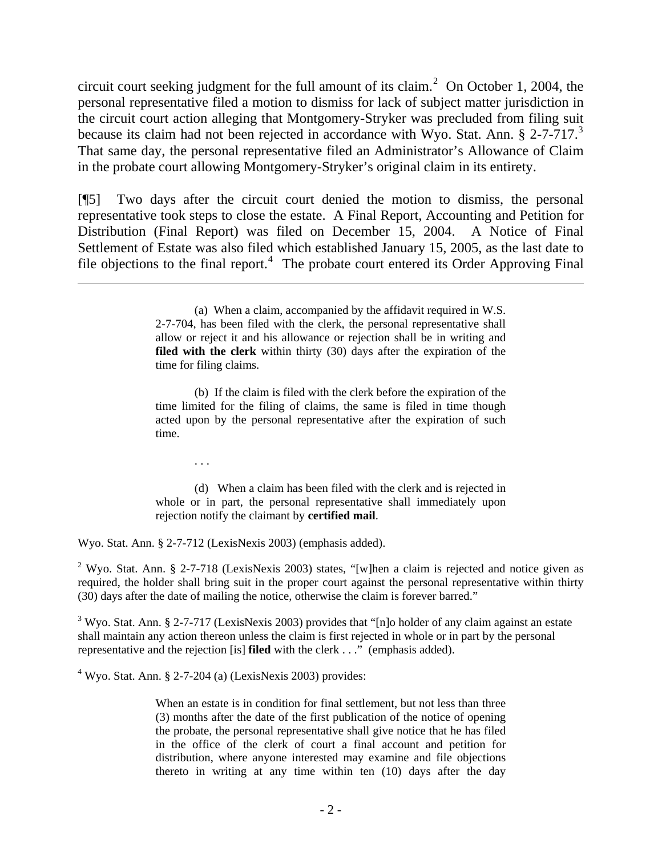circuit court seeking judgment for the full amount of its claim.<sup>[2](#page-2-0)</sup> On October 1, 2004, the personal representative filed a motion to dismiss for lack of subject matter jurisdiction in the circuit court action alleging that Montgomery-Stryker was precluded from filing suit because its claim had not been rejected in accordance with Wyo. Stat. Ann. § 2-7-717.<sup>[3](#page-2-1)</sup> That same day, the personal representative filed an Administrator's Allowance of Claim in the probate court allowing Montgomery-Stryker's original claim in its entirety.

[¶5] Two days after the circuit court denied the motion to dismiss, the personal representative took steps to close the estate. A Final Report, Accounting and Petition for Distribution (Final Report) was filed on December 15, 2004. A Notice of Final Settlement of Estate was also filed which established January 15, 2005, as the last date to file objections to the final report.<sup>[4](#page-2-2)</sup> The probate court entered its Order Approving Final

 (b) If the claim is filed with the clerk before the expiration of the time limited for the filing of claims, the same is filed in time though acted upon by the personal representative after the expiration of such time.

. . .

 $\overline{a}$ 

(d) When a claim has been filed with the clerk and is rejected in whole or in part, the personal representative shall immediately upon rejection notify the claimant by **certified mail**.

Wyo. Stat. Ann. § 2-7-712 (LexisNexis 2003) (emphasis added).

<span id="page-2-0"></span><sup>2</sup> Wyo. Stat. Ann. § 2-7-718 (LexisNexis 2003) states, "[w]hen a claim is rejected and notice given as required, the holder shall bring suit in the proper court against the personal representative within thirty (30) days after the date of mailing the notice, otherwise the claim is forever barred."

<span id="page-2-1"></span><sup>3</sup> Wyo. Stat. Ann. § 2-7-717 (LexisNexis 2003) provides that "[n]o holder of any claim against an estate shall maintain any action thereon unless the claim is first rejected in whole or in part by the personal representative and the rejection [is] **filed** with the clerk . . ." (emphasis added).

<span id="page-2-2"></span> $4$  Wyo. Stat. Ann. § 2-7-204 (a) (LexisNexis 2003) provides:

When an estate is in condition for final settlement, but not less than three (3) months after the date of the first publication of the notice of opening the probate, the personal representative shall give notice that he has filed in the office of the clerk of court a final account and petition for distribution, where anyone interested may examine and file objections thereto in writing at any time within ten (10) days after the day

<sup>(</sup>a) When a claim, accompanied by the affidavit required in W.S. 2-7-704, has been filed with the clerk, the personal representative shall allow or reject it and his allowance or rejection shall be in writing and **filed with the clerk** within thirty (30) days after the expiration of the time for filing claims.